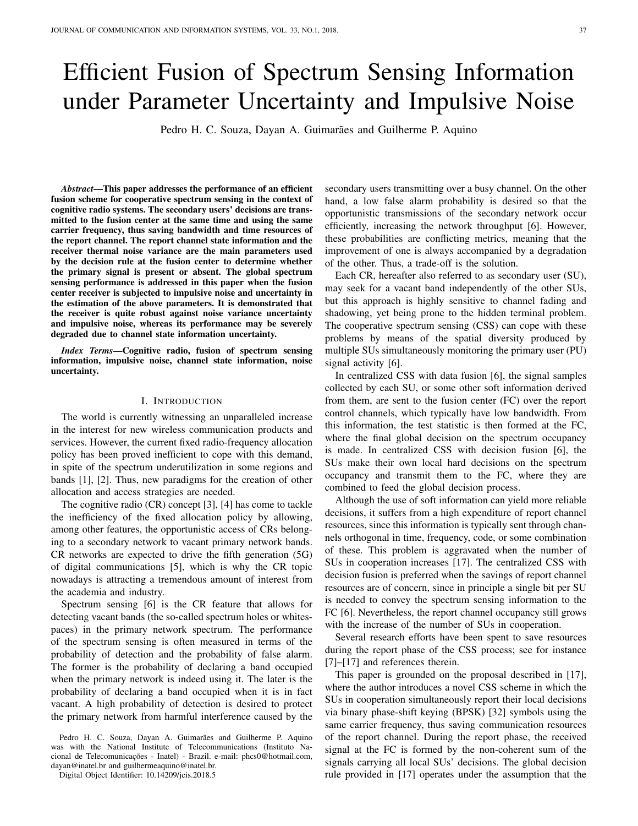# Efficient Fusion of Spectrum Sensing Information under Parameter Uncertainty and Impulsive Noise

Pedro H. C. Souza, Dayan A. Guimarães and Guilherme P. Aquino

*Abstract*—This paper addresses the performance of an efficient fusion scheme for cooperative spectrum sensing in the context of cognitive radio systems. The secondary users' decisions are transmitted to the fusion center at the same time and using the same carrier frequency, thus saving bandwidth and time resources of the report channel. The report channel state information and the receiver thermal noise variance are the main parameters used by the decision rule at the fusion center to determine whether the primary signal is present or absent. The global spectrum sensing performance is addressed in this paper when the fusion center receiver is subjected to impulsive noise and uncertainty in the estimation of the above parameters. It is demonstrated that the receiver is quite robust against noise variance uncertainty and impulsive noise, whereas its performance may be severely degraded due to channel state information uncertainty.

*Index Terms*—Cognitive radio, fusion of spectrum sensing information, impulsive noise, channel state information, noise uncertainty.

#### I. INTRODUCTION

The world is currently witnessing an unparalleled increase in the interest for new wireless communication products and services. However, the current fixed radio-frequency allocation policy has been proved inefficient to cope with this demand, in spite of the spectrum underutilization in some regions and bands [1], [2]. Thus, new paradigms for the creation of other allocation and access strategies are needed.

The cognitive radio (CR) concept [3], [4] has come to tackle the inefficiency of the fixed allocation policy by allowing, among other features, the opportunistic access of CRs belonging to a secondary network to vacant primary network bands. CR networks are expected to drive the fifth generation (5G) of digital communications [5], which is why the CR topic nowadays is attracting a tremendous amount of interest from the academia and industry.

Spectrum sensing [6] is the CR feature that allows for detecting vacant bands (the so-called spectrum holes or whitespaces) in the primary network spectrum. The performance of the spectrum sensing is often measured in terms of the probability of detection and the probability of false alarm. The former is the probability of declaring a band occupied when the primary network is indeed using it. The later is the probability of declaring a band occupied when it is in fact vacant. A high probability of detection is desired to protect the primary network from harmful interference caused by the

Pedro H. C. Souza, Dayan A. Guimarães and Guilherme P. Aquino was with the National Institute of Telecommunications (Instituto Nacional de Telecomunicações - Inatel) - Brazil. e-mail: phcs0@hotmail.com, dayan@inatel.br and guilhermeaquino@inatel.br.

Digital Object Identifier: 10.14209/jcis.2018.5

secondary users transmitting over a busy channel. On the other hand, a low false alarm probability is desired so that the opportunistic transmissions of the secondary network occur efficiently, increasing the network throughput [6]. However, these probabilities are conflicting metrics, meaning that the improvement of one is always accompanied by a degradation of the other. Thus, a trade-off is the solution.

Each CR, hereafter also referred to as secondary user (SU), may seek for a vacant band independently of the other SUs, but this approach is highly sensitive to channel fading and shadowing, yet being prone to the hidden terminal problem. The cooperative spectrum sensing (CSS) can cope with these problems by means of the spatial diversity produced by multiple SUs simultaneously monitoring the primary user (PU) signal activity [6].

In centralized CSS with data fusion [6], the signal samples collected by each SU, or some other soft information derived from them, are sent to the fusion center (FC) over the report control channels, which typically have low bandwidth. From this information, the test statistic is then formed at the FC, where the final global decision on the spectrum occupancy is made. In centralized CSS with decision fusion [6], the SUs make their own local hard decisions on the spectrum occupancy and transmit them to the FC, where they are combined to feed the global decision process.

Although the use of soft information can yield more reliable decisions, it suffers from a high expenditure of report channel resources, since this information is typically sent through channels orthogonal in time, frequency, code, or some combination of these. This problem is aggravated when the number of SUs in cooperation increases [17]. The centralized CSS with decision fusion is preferred when the savings of report channel resources are of concern, since in principle a single bit per SU is needed to convey the spectrum sensing information to the FC [6]. Nevertheless, the report channel occupancy still grows with the increase of the number of SUs in cooperation.

Several research efforts have been spent to save resources during the report phase of the CSS process; see for instance [7]–[17] and references therein.

This paper is grounded on the proposal described in [17], where the author introduces a novel CSS scheme in which the SUs in cooperation simultaneously report their local decisions via binary phase-shift keying (BPSK) [32] symbols using the same carrier frequency, thus saving communication resources of the report channel. During the report phase, the received signal at the FC is formed by the non-coherent sum of the signals carrying all local SUs' decisions. The global decision rule provided in [17] operates under the assumption that the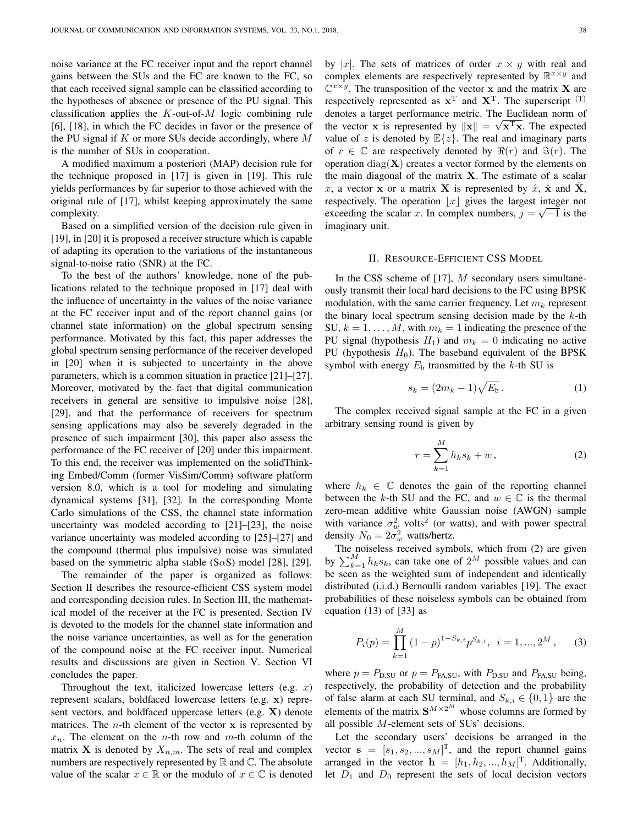noise variance at the FC receiver input and the report channel gains between the SUs and the FC are known to the FC, so that each received signal sample can be classified according to the hypotheses of absence or presence of the PU signal. This classification applies the  $K$ -out-of- $M$  logic combining rule [6], [18], in which the FC decides in favor or the presence of the PU signal if  $K$  or more SUs decide accordingly, where  $M$ is the number of SUs in cooperation.

A modified maximum a posteriori (MAP) decision rule for the technique proposed in [17] is given in [19]. This rule yields performances by far superior to those achieved with the original rule of [17], whilst keeping approximately the same complexity.

Based on a simplified version of the decision rule given in [19], in [20] it is proposed a receiver structure which is capable of adapting its operation to the variations of the instantaneous signal-to-noise ratio (SNR) at the FC.

To the best of the authors' knowledge, none of the publications related to the technique proposed in [17] deal with the influence of uncertainty in the values of the noise variance at the FC receiver input and of the report channel gains (or channel state information) on the global spectrum sensing performance. Motivated by this fact, this paper addresses the global spectrum sensing performance of the receiver developed in [20] when it is subjected to uncertainty in the above parameters, which is a common situation in practice [21]–[27]. Moreover, motivated by the fact that digital communication receivers in general are sensitive to impulsive noise [28], [29], and that the performance of receivers for spectrum sensing applications may also be severely degraded in the presence of such impairment [30], this paper also assess the performance of the FC receiver of [20] under this impairment. To this end, the receiver was implemented on the solidThinking Embed/Comm (former VisSim/Comm) software platform version 8.0, which is a tool for modeling and simulating dynamical systems [31], [32]. In the corresponding Monte Carlo simulations of the CSS, the channel state information uncertainty was modeled according to [21]–[23], the noise variance uncertainty was modeled according to [25]–[27] and the compound (thermal plus impulsive) noise was simulated based on the symmetric alpha stable (S $\alpha$ S) model [28], [29].

The remainder of the paper is organized as follows: Section II describes the resource-efficient CSS system model and corresponding decision rules. In Section III, the mathematical model of the receiver at the FC is presented. Section IV is devoted to the models for the channel state information and the noise variance uncertainties, as well as for the generation of the compound noise at the FC receiver input. Numerical results and discussions are given in Section V. Section VI concludes the paper.

Throughout the text, italicized lowercase letters (e.g.  $x$ ) represent scalars, boldfaced lowercase letters (e.g. x) represent vectors, and boldfaced uppercase letters (e.g. X) denote matrices. The *n*-th element of the vector  $x$  is represented by  $x_n$ . The element on the *n*-th row and *m*-th column of the matrix **X** is denoted by  $X_{n,m}$ . The sets of real and complex numbers are respectively represented by  $\mathbb R$  and  $\mathbb C$ . The absolute value of the scalar  $x \in \mathbb{R}$  or the modulo of  $x \in \mathbb{C}$  is denoted by |x|. The sets of matrices of order  $x \times y$  with real and complex elements are respectively represented by  $\mathbb{R}^{x \times y}$  and  $\mathbb{C}^{x \times y}$ . The transposition of the vector x and the matrix X are respectively represented as  $x^T$  and  $X^T$ . The superscript  $^{(T)}$ denotes a target performance metric. The Euclidean norm of the vector **x** is represented by  $\|\mathbf{x}\| = \sqrt{\mathbf{x}^T\mathbf{x}}$ . The expected value of z is denoted by  $\mathbb{E}\{z\}$ . The real and imaginary parts of  $r \in \mathbb{C}$  are respectively denoted by  $\Re(r)$  and  $\Im(r)$ . The operation diag( $X$ ) creates a vector formed by the elements on the main diagonal of the matrix  $X$ . The estimate of a scalar x, a vector x or a matrix X is represented by  $\hat{x}$ ,  $\hat{x}$  and  $\hat{X}$ , respectively. The operation  $\lfloor x \rfloor$  gives the largest integer not exceeding the scalar x. In complex numbers,  $j = \sqrt{-1}$  is the imaginary unit.

#### II. RESOURCE-EFFICIENT CSS MODEL

In the CSS scheme of  $[17]$ ,  $M$  secondary users simultaneously transmit their local hard decisions to the FC using BPSK modulation, with the same carrier frequency. Let  $m_k$  represent the binary local spectrum sensing decision made by the  $k$ -th SU,  $k = 1, \ldots, M$ , with  $m_k = 1$  indicating the presence of the PU signal (hypothesis  $H_1$ ) and  $m_k = 0$  indicating no active PU (hypothesis  $H_0$ ). The baseband equivalent of the BPSK symbol with energy  $E<sub>b</sub>$  transmitted by the k-th SU is

$$
s_k = (2m_k - 1)\sqrt{E_b}.
$$
 (1)

The complex received signal sample at the FC in a given arbitrary sensing round is given by

$$
r = \sum_{k=1}^{M} h_k s_k + w, \qquad (2)
$$

where  $h_k \in \mathbb{C}$  denotes the gain of the reporting channel between the k-th SU and the FC, and  $w \in \mathbb{C}$  is the thermal zero-mean additive white Gaussian noise (AWGN) sample with variance  $\sigma_w^2$  volts<sup>2</sup> (or watts), and with power spectral density  $N_0 = 2\sigma_w^2$  watts/hertz.

The noiseless received symbols, which from (2) are given by  $\sum_{k=1}^{M} h_k s_k$ , can take one of  $2^M$  possible values and can be seen as the weighted sum of independent and identically distributed (i.i.d.) Bernoulli random variables [19]. The exact probabilities of these noiseless symbols can be obtained from equation (13) of [33] as

$$
P_i(p) = \prod_{k=1}^{M} (1-p)^{1-S_{k,i}} p^{S_{k,i}}, \quad i = 1, ..., 2^M, \quad (3)
$$

where  $p = P_{\text{D,SU}}$  or  $p = P_{\text{FA,SU}}$ , with  $P_{\text{D,SU}}$  and  $P_{\text{FA,SU}}$  being, respectively, the probability of detection and the probability of false alarm at each SU terminal, and  $S_{k,i} \in \{0,1\}$  are the elements of the matrix  $S^{M\times 2^M}$  whose columns are formed by all possible M-element sets of SUs' decisions.

Let the secondary users' decisions be arranged in the vector  $\mathbf{s} = [s_1, s_2, ..., s_M]^T$ , and the report channel gains arranged in the vector  $\mathbf{h} = [h_1, h_2, ..., h_M]^\text{T}$ . Additionally, let  $D_1$  and  $D_0$  represent the sets of local decision vectors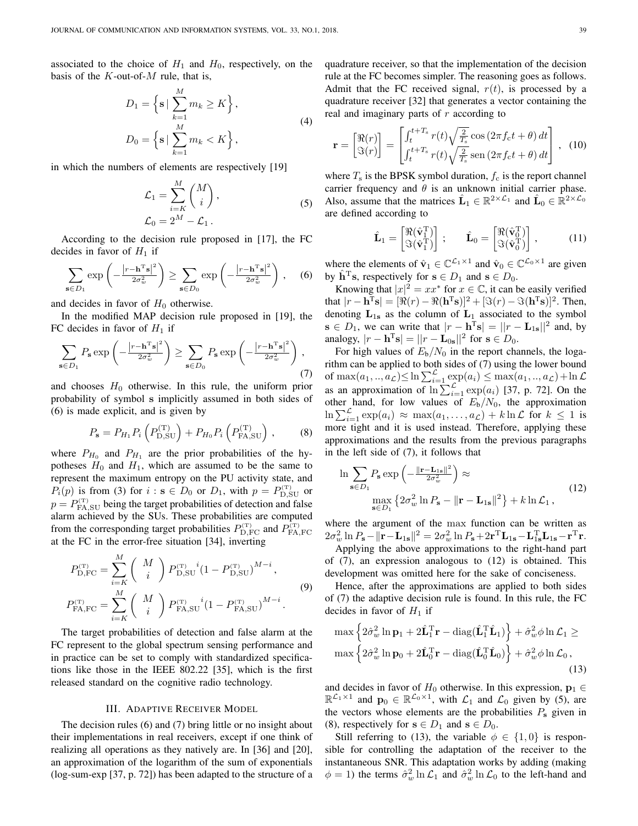associated to the choice of  $H_1$  and  $H_0$ , respectively, on the basis of the  $K$ -out-of- $M$  rule, that is,

$$
D_1 = \left\{ \mathbf{s} \mid \sum_{k=1}^{M} m_k \ge K \right\},
$$
  
\n
$$
D_0 = \left\{ \mathbf{s} \mid \sum_{k=1}^{M} m_k < K \right\},
$$
\n
$$
(4)
$$

in which the numbers of elements are respectively [19]

$$
\mathcal{L}_1 = \sum_{i=K}^{M} \binom{M}{i},
$$
\n
$$
\mathcal{L}_0 = 2^M - \mathcal{L}_1.
$$
\n(5)

According to the decision rule proposed in [17], the FC decides in favor of  $H_1$  if

$$
\sum_{\mathbf{s}\in D_1} \exp\left(-\frac{|r-\mathbf{h}^{\mathrm{T}}\mathbf{s}|^2}{2\sigma_w^2}\right) \ge \sum_{\mathbf{s}\in D_0} \exp\left(-\frac{|r-\mathbf{h}^{\mathrm{T}}\mathbf{s}|^2}{2\sigma_w^2}\right),\quad (6)
$$

and decides in favor of  $H_0$  otherwise.

In the modified MAP decision rule proposed in [19], the FC decides in favor of  $H_1$  if

$$
\sum_{\mathbf{s}\in D_1} P_{\mathbf{s}} \exp\left(-\frac{|r - \mathbf{h}^{\mathrm{T}}\mathbf{s}|^2}{2\sigma_w^2}\right) \ge \sum_{\mathbf{s}\in D_0} P_{\mathbf{s}} \exp\left(-\frac{|r - \mathbf{h}^{\mathrm{T}}\mathbf{s}|^2}{2\sigma_w^2}\right),\tag{7}
$$

and chooses  $H_0$  otherwise. In this rule, the uniform prior probability of symbol s implicitly assumed in both sides of (6) is made explicit, and is given by

$$
P_{s} = P_{H_{1}} P_{i} \left( P_{\rm D, SU}^{(T)} \right) + P_{H_{0}} P_{i} \left( P_{\rm FA, SU}^{(T)} \right), \tag{8}
$$

where  $P_{H_0}$  and  $P_{H_1}$  are the prior probabilities of the hypotheses  $H_0$  and  $H_1$ , which are assumed to be the same to represent the maximum entropy on the PU activity state, and  $P_i(p)$  is from (3) for  $i : s \in D_0$  or  $D_1$ , with  $p = P_{D,\text{SU}}^{(T)}$  or  $p = P_{\text{FA,SU}}^{(\text{\tiny T})}$  being the target probabilities of detection and false alarm achieved by the SUs. These probabilities are computed from the corresponding target probabilities  $P_{\text{D,FC}}^{(\text{\tiny T})}$  and  $P_{\text{FA,FC}}^{(\text{\tiny T})}$ at the FC in the error-free situation [34], inverting

$$
P_{\text{D,FC}}^{(\text{T})} = \sum_{i=K}^{M} \binom{M}{i} P_{\text{D,SU}}^{(\text{T})}{}^{i} (1 - P_{\text{D,SU}}^{(\text{T})})^{M-i},
$$
  
\n
$$
P_{\text{FA,FC}}^{(\text{T})} = \sum_{i=K}^{M} \binom{M}{i} P_{\text{FA,SU}}^{(\text{T})}{}^{i} (1 - P_{\text{FA,SU}}^{(\text{T})})^{M-i}.
$$
\n(9)

The target probabilities of detection and false alarm at the FC represent to the global spectrum sensing performance and in practice can be set to comply with standardized specifications like those in the IEEE 802.22 [35], which is the first released standard on the cognitive radio technology.

# III. ADAPTIVE RECEIVER MODEL

The decision rules (6) and (7) bring little or no insight about their implementations in real receivers, except if one think of realizing all operations as they natively are. In [36] and [20], an approximation of the logarithm of the sum of exponentials (log-sum-exp [37, p. 72]) has been adapted to the structure of a quadrature receiver, so that the implementation of the decision rule at the FC becomes simpler. The reasoning goes as follows. Admit that the FC received signal,  $r(t)$ , is processed by a quadrature receiver [32] that generates a vector containing the real and imaginary parts of  $r$  according to

$$
\mathbf{r} = \begin{bmatrix} \Re(r) \\ \Im(r) \end{bmatrix} = \begin{bmatrix} \int_t^{t+T_s} r(t) \sqrt{\frac{2}{T_s}} \cos\left(2\pi f_c t + \theta\right) dt \\ \int_t^{t+T_s} r(t) \sqrt{\frac{2}{T_s}} \sin\left(2\pi f_c t + \theta\right) dt \end{bmatrix}, \tag{10}
$$

where  $T<sub>s</sub>$  is the BPSK symbol duration,  $f<sub>c</sub>$  is the report channel carrier frequency and  $\theta$  is an unknown initial carrier phase. Also, assume that the matrices  $\hat{\mathbf{L}}_1 \in \mathbb{R}^{2 \times \mathcal{L}_1}$  and  $\hat{\mathbf{L}}_0 \in \mathbb{R}^{2 \times \mathcal{L}_0}$ are defined according to

$$
\hat{\mathbf{L}}_1 = \begin{bmatrix} \Re(\hat{\mathbf{v}}_1^{\mathrm{T}}) \\ \Im(\hat{\mathbf{v}}_1^{\mathrm{T}}) \end{bmatrix} ; \qquad \hat{\mathbf{L}}_0 = \begin{bmatrix} \Re(\hat{\mathbf{v}}_0^{\mathrm{T}}) \\ \Im(\hat{\mathbf{v}}_0^{\mathrm{T}}) \end{bmatrix} , \tag{11}
$$

where the elements of  $\hat{\mathbf{v}}_1 \in \mathbb{C}^{\mathcal{L}_1 \times 1}$  and  $\hat{\mathbf{v}}_0 \in \mathbb{C}^{\mathcal{L}_0 \times 1}$  are given by  $\hat{\mathbf{h}}^{\mathrm{T}}\mathbf{s}$ , respectively for  $\mathbf{s} \in D_1$  and  $\mathbf{s} \in D_0$ .

Knowing that  $|x|^2 = xx^*$  for  $x \in \mathbb{C}$ , it can be easily verified that  $|r - \mathbf{h}^{\mathrm{T}} \mathbf{s}| = [\Re(r) - \Re(\mathbf{h}^{\mathrm{T}} \mathbf{s})]^2 + [\Im(r) - \Im(\mathbf{h}^{\mathrm{T}} \mathbf{s})]^2$ . Then, denoting  $L_{1s}$  as the column of  $L_1$  associated to the symbol  $\mathbf{s} \in D_1$ , we can write that  $|r - \mathbf{h}^T \mathbf{s}| = ||r - \mathbf{L}_{1\mathbf{s}}||^2$  and, by analogy,  $|r - \mathbf{h}^{\mathrm{T}} \mathbf{s}| = ||r - \mathbf{L}_{0\mathbf{s}}||^2$  for  $\mathbf{s} \in D_0$ .

For high values of  $E_b/N_0$  in the report channels, the logarithm can be applied to both sides of (7) using the lower bound of  $\max(a_1, ..., a_{\mathcal{L}}) \leq \ln \sum_{i=1}^{\mathcal{L}} \exp(a_i) \leq \max(a_1, ..., a_{\mathcal{L}}) + \ln \mathcal{L}$ as an approximation of  $\ln \sum_{i=1}^{L} \exp(a_i)$  [37, p. 72]. On the other hand, for low values of  $E_b/N_0$ , the approximation  $\ln \sum_{i=1}^{\mathcal{L}} \exp(a_i) \approx \max(a_1, \ldots, a_{\mathcal{L}}) + k \ln \mathcal{L}$  for  $k \leq 1$  is more tight and it is used instead. Therefore, applying these approximations and the results from the previous paragraphs in the left side of (7), it follows that

$$
\ln \sum_{\mathbf{s}\in D_1} P_{\mathbf{s}} \exp\left(-\frac{\|\mathbf{r}-\mathbf{L}_{1\mathbf{s}}\|^2}{2\sigma_w^2}\right) \approx
$$
\n
$$
\max_{\mathbf{s}\in D_1} \left\{2\sigma_w^2 \ln P_{\mathbf{s}} - \|\mathbf{r}-\mathbf{L}_{1\mathbf{s}}\|^2\right\} + k \ln \mathcal{L}_1,
$$
\n(12)

where the argument of the max function can be written as  $2\sigma_w^2 \ln P_s - ||\mathbf{r} - \mathbf{L}_{1s}||^2 = 2\sigma_w^2 \ln P_s + 2\mathbf{r}^T \mathbf{L}_{1s} - \mathbf{L}_{1s}^T \mathbf{L}_{1s} - \mathbf{r}^T \mathbf{r}.$ 

Applying the above approximations to the right-hand part of (7), an expression analogous to (12) is obtained. This development was omitted here for the sake of conciseness.

Hence, after the approximations are applied to both sides of (7) the adaptive decision rule is found. In this rule, the FC decides in favor of  $H_1$  if

$$
\max \left\{ 2\hat{\sigma}_w^2 \ln \mathbf{p}_1 + 2\hat{\mathbf{L}}_1^{\mathrm{T}} \mathbf{r} - \text{diag}(\hat{\mathbf{L}}_1^{\mathrm{T}} \hat{\mathbf{L}}_1) \right\} + \hat{\sigma}_w^2 \phi \ln \mathcal{L}_1 \ge
$$
  

$$
\max \left\{ 2\hat{\sigma}_w^2 \ln \mathbf{p}_0 + 2\hat{\mathbf{L}}_0^{\mathrm{T}} \mathbf{r} - \text{diag}(\hat{\mathbf{L}}_0^{\mathrm{T}} \hat{\mathbf{L}}_0) \right\} + \hat{\sigma}_w^2 \phi \ln \mathcal{L}_0 ,
$$
\n(13)

and decides in favor of  $H_0$  otherwise. In this expression,  $p_1 \in$  $\mathbb{R}^{\mathcal{L}_1 \times 1}$  and  $\mathbf{p}_0 \in \mathbb{R}^{\mathcal{L}_0 \times 1}$ , with  $\mathcal{L}_1$  and  $\mathcal{L}_0$  given by (5), are the vectors whose elements are the probabilities  $P_s$  given in (8), respectively for  $s \in D_1$  and  $s \in D_0$ .

Still referring to (13), the variable  $\phi \in \{1,0\}$  is responsible for controlling the adaptation of the receiver to the instantaneous SNR. This adaptation works by adding (making  $\phi = 1$ ) the terms  $\hat{\sigma}_w^2 \ln \mathcal{L}_1$  and  $\hat{\sigma}_w^2 \ln \mathcal{L}_0$  to the left-hand and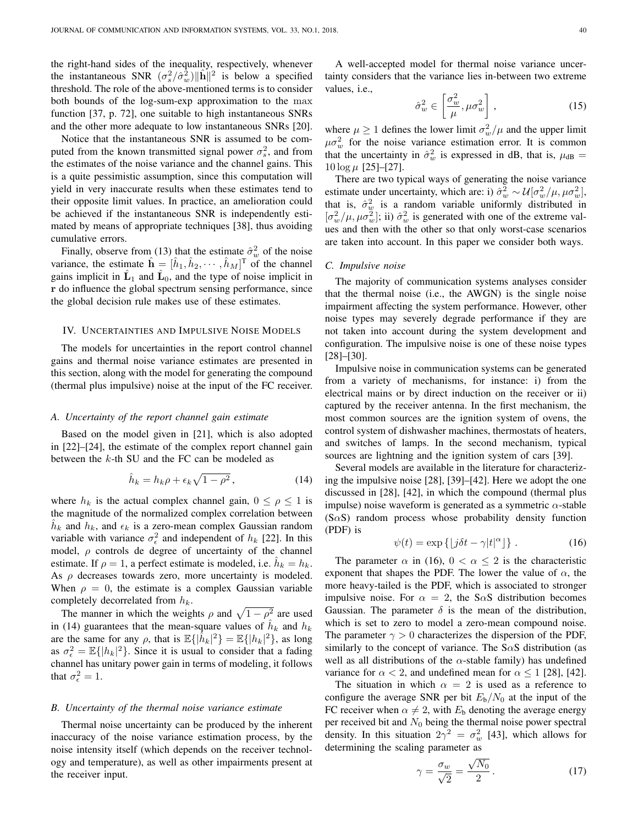the right-hand sides of the inequality, respectively, whenever the instantaneous SNR  $(\sigma_s^2/\hat{\sigma}_w^2) \|\hat{\mathbf{h}}\|^2$  is below a specified threshold. The role of the above-mentioned terms is to consider both bounds of the log-sum-exp approximation to the max function [37, p. 72], one suitable to high instantaneous SNRs and the other more adequate to low instantaneous SNRs [20].

Notice that the instantaneous SNR is assumed to be computed from the known transmitted signal power  $\sigma_s^2$ , and from the estimates of the noise variance and the channel gains. This is a quite pessimistic assumption, since this computation will yield in very inaccurate results when these estimates tend to their opposite limit values. In practice, an amelioration could be achieved if the instantaneous SNR is independently estimated by means of appropriate techniques [38], thus avoiding cumulative errors.

Finally, observe from (13) that the estimate  $\hat{\sigma}_w^2$  of the noise variance, the estimate  $\hat{\mathbf{h}} = [\hat{h}_1, \hat{h}_2, \cdots, \hat{h}_M]^T$  of the channel gains implicit in  $\hat{L}_1$  and  $\hat{L}_0$ , and the type of noise implicit in r do influence the global spectrum sensing performance, since the global decision rule makes use of these estimates.

## IV. UNCERTAINTIES AND IMPULSIVE NOISE MODELS

The models for uncertainties in the report control channel gains and thermal noise variance estimates are presented in this section, along with the model for generating the compound (thermal plus impulsive) noise at the input of the FC receiver.

#### *A. Uncertainty of the report channel gain estimate*

Based on the model given in [21], which is also adopted in [22]–[24], the estimate of the complex report channel gain between the  $k$ -th SU and the FC can be modeled as

$$
\hat{h}_k = h_k \rho + \epsilon_k \sqrt{1 - \rho^2},\tag{14}
$$

where  $h_k$  is the actual complex channel gain,  $0 \le \rho \le 1$  is the magnitude of the normalized complex correlation between  $\hat{h}_k$  and  $h_k$ , and  $\epsilon_k$  is a zero-mean complex Gaussian random variable with variance  $\sigma_{\epsilon}^2$  and independent of  $h_k$  [22]. In this model,  $\rho$  controls de degree of uncertainty of the channel estimate. If  $\rho = 1$ , a perfect estimate is modeled, i.e.  $\hat{h}_k = h_k$ . As  $\rho$  decreases towards zero, more uncertainty is modeled. When  $\rho = 0$ , the estimate is a complex Gaussian variable completely decorrelated from  $h_k$ .

The manner in which the weights  $\rho$  and  $\sqrt{1 - \rho^2}$  are used in (14) guarantees that the mean-square values of  $\hat{h}_k$  and  $h_k$ are the same for any  $\rho$ , that is  $\mathbb{E}\{\hat{h}_k|^2\} = \mathbb{E}\{|h_k|^2\}$ , as long as  $\sigma_{\epsilon}^2 = \mathbb{E}\{|h_k|^2\}$ . Since it is usual to consider that a fading channel has unitary power gain in terms of modeling, it follows that  $\sigma_{\epsilon}^2 = 1$ .

# *B. Uncertainty of the thermal noise variance estimate*

Thermal noise uncertainty can be produced by the inherent inaccuracy of the noise variance estimation process, by the noise intensity itself (which depends on the receiver technology and temperature), as well as other impairments present at the receiver input.

A well-accepted model for thermal noise variance uncertainty considers that the variance lies in-between two extreme values, i.e.,

$$
\hat{\sigma}_w^2 \in \left[\frac{\sigma_w^2}{\mu}, \mu \sigma_w^2\right],\tag{15}
$$

where  $\mu \ge 1$  defines the lower limit  $\sigma_w^2/\mu$  and the upper limit  $\mu \sigma_w^2$  for the noise variance estimation error. It is common that the uncertainty in  $\hat{\sigma}_w^2$  is expressed in dB, that is,  $\mu_{dB} =$  $10 \log \mu$  [25]–[27].

There are two typical ways of generating the noise variance estimate under uncertainty, which are: i)  $\hat{\sigma}_w^2 \sim \mathcal{U}[\sigma_w^2/\mu, \mu \sigma_w^2]$ , that is,  $\hat{\sigma}_w^2$  is a random variable uniformly distributed in  $[\sigma_w^2/\mu, \mu \sigma_w^2]$ ; ii)  $\hat{\sigma}_w^2$  is generated with one of the extreme values and then with the other so that only worst-case scenarios are taken into account. In this paper we consider both ways.

## *C. Impulsive noise*

The majority of communication systems analyses consider that the thermal noise (i.e., the AWGN) is the single noise impairment affecting the system performance. However, other noise types may severely degrade performance if they are not taken into account during the system development and configuration. The impulsive noise is one of these noise types [28]–[30].

Impulsive noise in communication systems can be generated from a variety of mechanisms, for instance: i) from the electrical mains or by direct induction on the receiver or ii) captured by the receiver antenna. In the first mechanism, the most common sources are the ignition system of ovens, the control system of dishwasher machines, thermostats of heaters, and switches of lamps. In the second mechanism, typical sources are lightning and the ignition system of cars [39].

Several models are available in the literature for characterizing the impulsive noise [28], [39]–[42]. Here we adopt the one discussed in [28], [42], in which the compound (thermal plus impulse) noise waveform is generated as a symmetric  $\alpha$ -stable  $(S\alpha S)$  random process whose probability density function (PDF) is

$$
\psi(t) = \exp\left\{ \left[ j\delta t - \gamma |t|^{\alpha} \right] \right\}.
$$
 (16)

The parameter  $\alpha$  in (16),  $0 < \alpha \leq 2$  is the characteristic exponent that shapes the PDF. The lower the value of  $\alpha$ , the more heavy-tailed is the PDF, which is associated to stronger impulsive noise. For  $\alpha = 2$ , the S $\alpha$ S distribution becomes Gaussian. The parameter  $\delta$  is the mean of the distribution, which is set to zero to model a zero-mean compound noise. The parameter  $\gamma > 0$  characterizes the dispersion of the PDF, similarly to the concept of variance. The S $\alpha$ S distribution (as well as all distributions of the  $\alpha$ -stable family) has undefined variance for  $\alpha < 2$ , and undefined mean for  $\alpha < 1$  [28], [42].

The situation in which  $\alpha = 2$  is used as a reference to configure the average SNR per bit  $E_b/N_0$  at the input of the FC receiver when  $\alpha \neq 2$ , with  $E_b$  denoting the average energy per received bit and  $N_0$  being the thermal noise power spectral density. In this situation  $2\gamma^2 = \sigma_w^2$  [43], which allows for determining the scaling parameter as

$$
\gamma = \frac{\sigma_w}{\sqrt{2}} = \frac{\sqrt{N_0}}{2} \,. \tag{17}
$$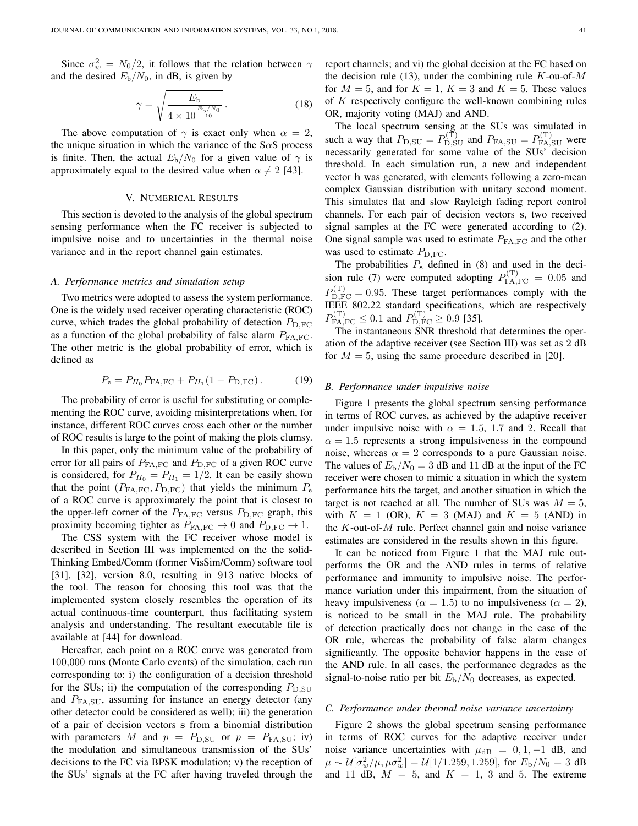Since  $\sigma_w^2 = N_0/2$ , it follows that the relation between  $\gamma$ and the desired  $E_b/N_0$ , in dB, is given by

$$
\gamma = \sqrt{\frac{E_{\rm b}}{4 \times 10^{\frac{E_{\rm b}/N_0}{10}}}}.\tag{18}
$$

The above computation of  $\gamma$  is exact only when  $\alpha = 2$ , the unique situation in which the variance of the  $S \alpha S$  process is finite. Then, the actual  $E_b/N_0$  for a given value of  $\gamma$  is approximately equal to the desired value when  $\alpha \neq 2$  [43].

#### V. NUMERICAL RESULTS

This section is devoted to the analysis of the global spectrum sensing performance when the FC receiver is subjected to impulsive noise and to uncertainties in the thermal noise variance and in the report channel gain estimates.

# *A. Performance metrics and simulation setup*

Two metrics were adopted to assess the system performance. One is the widely used receiver operating characteristic (ROC) curve, which trades the global probability of detection  $P_{D,FC}$ as a function of the global probability of false alarm  $P_{FA,FC}$ . The other metric is the global probability of error, which is defined as

$$
P_e = P_{H_0} P_{FA,FC} + P_{H_1} (1 - P_{D,FC}).
$$
 (19)

The probability of error is useful for substituting or complementing the ROC curve, avoiding misinterpretations when, for instance, different ROC curves cross each other or the number of ROC results is large to the point of making the plots clumsy.

In this paper, only the minimum value of the probability of error for all pairs of  $P_{FA,FC}$  and  $P_{D,FC}$  of a given ROC curve is considered, for  $P_{H_0} = P_{H_1} = 1/2$ . It can be easily shown that the point  $(P_{FA,FC}, P_{D,FC})$  that yields the minimum  $P_e$ of a ROC curve is approximately the point that is closest to the upper-left corner of the  $P_{FA,FC}$  versus  $P_{D,FC}$  graph, this proximity becoming tighter as  $P_{FA,FC} \rightarrow 0$  and  $P_{D,FC} \rightarrow 1$ .

The CSS system with the FC receiver whose model is described in Section III was implemented on the the solid-Thinking Embed/Comm (former VisSim/Comm) software tool [31], [32], version 8.0, resulting in 913 native blocks of the tool. The reason for choosing this tool was that the implemented system closely resembles the operation of its actual continuous-time counterpart, thus facilitating system analysis and understanding. The resultant executable file is available at [44] for download.

Hereafter, each point on a ROC curve was generated from 100,000 runs (Monte Carlo events) of the simulation, each run corresponding to: i) the configuration of a decision threshold for the SUs; ii) the computation of the corresponding  $P_{\text{D,SU}}$ and  $P_{FA, SU}$ , assuming for instance an energy detector (any other detector could be considered as well); iii) the generation of a pair of decision vectors s from a binomial distribution with parameters M and  $p = P_{D, SU}$  or  $p = P_{FA, SU}$ ; iv) the modulation and simultaneous transmission of the SUs' decisions to the FC via BPSK modulation; v) the reception of the SUs' signals at the FC after having traveled through the report channels; and vi) the global decision at the FC based on the decision rule (13), under the combining rule  $K$ -ou-of- $M$ for  $M = 5$ , and for  $K = 1$ ,  $K = 3$  and  $K = 5$ . These values of K respectively configure the well-known combining rules OR, majority voting (MAJ) and AND.

The local spectrum sensing at the SUs was simulated in such a way that  $P_{\text{D,SU}} = P_{\text{D,SU}}^{(\text{T})}$  and  $P_{\text{FA,SU}} = P_{\text{FA,SU}}^{(\text{T})}$  were necessarily generated for some value of the SUs' decision threshold. In each simulation run, a new and independent vector h was generated, with elements following a zero-mean complex Gaussian distribution with unitary second moment. This simulates flat and slow Rayleigh fading report control channels. For each pair of decision vectors s, two received signal samples at the FC were generated according to (2). One signal sample was used to estimate  $P_{FA,FC}$  and the other was used to estimate  $P_{\text{D,FC}}$ .

The probabilities  $P_s$  defined in (8) and used in the decision rule (7) were computed adopting  $P_{FA,FC}^{(T)} = 0.05$  and  $P_{\text{D,FC}}^{(\text{T})} = 0.95$ . These target performances comply with the IEEE 802.22 standard specifications, which are respectively  $P_{\text{FA,FC}}^{(\text{T})} \leq 0.1$  and  $P_{\text{D,FC}}^{(\text{T})} \geq 0.9$  [35].

The instantaneous SNR threshold that determines the operation of the adaptive receiver (see Section III) was set as 2 dB for  $M = 5$ , using the same procedure described in [20].

# *B. Performance under impulsive noise*

Figure 1 presents the global spectrum sensing performance in terms of ROC curves, as achieved by the adaptive receiver under impulsive noise with  $\alpha = 1.5, 1.7$  and 2. Recall that  $\alpha = 1.5$  represents a strong impulsiveness in the compound noise, whereas  $\alpha = 2$  corresponds to a pure Gaussian noise. The values of  $E_{\rm b}/N_0 = 3$  dB and 11 dB at the input of the FC receiver were chosen to mimic a situation in which the system performance hits the target, and another situation in which the target is not reached at all. The number of SUs was  $M = 5$ , with  $K = 1$  (OR),  $K = 3$  (MAJ) and  $K = 5$  (AND) in the  $K$ -out-of- $M$  rule. Perfect channel gain and noise variance estimates are considered in the results shown in this figure.

It can be noticed from Figure 1 that the MAJ rule outperforms the OR and the AND rules in terms of relative performance and immunity to impulsive noise. The performance variation under this impairment, from the situation of heavy impulsiveness ( $\alpha = 1.5$ ) to no impulsiveness ( $\alpha = 2$ ), is noticed to be small in the MAJ rule. The probability of detection practically does not change in the case of the OR rule, whereas the probability of false alarm changes significantly. The opposite behavior happens in the case of the AND rule. In all cases, the performance degrades as the signal-to-noise ratio per bit  $E_{\rm b}/N_0$  decreases, as expected.

#### *C. Performance under thermal noise variance uncertainty*

Figure 2 shows the global spectrum sensing performance in terms of ROC curves for the adaptive receiver under noise variance uncertainties with  $\mu_{dB} = 0, 1, -1$  dB, and  $\mu \sim \mathcal{U}[\sigma_w^2/\mu, \mu \sigma_w^2] = \mathcal{U}[1/1.259, 1.259]$ , for  $E_{\rm b}/N_0 = 3$  dB and 11 dB,  $M = 5$ , and  $K = 1$ , 3 and 5. The extreme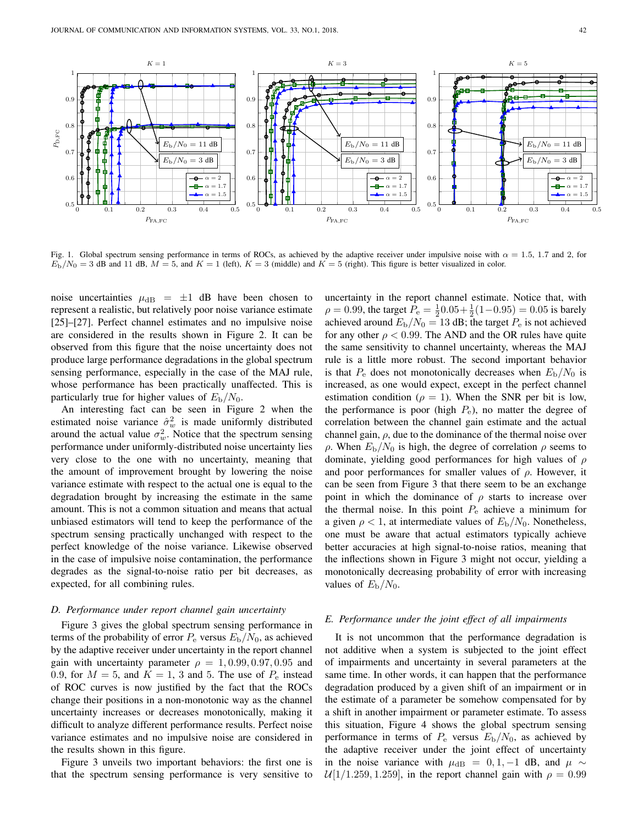

Fig. 1. Global spectrum sensing performance in terms of ROCs, as achieved by the adaptive receiver under impulsive noise with  $\alpha = 1.5, 1.7$  and 2, for  $E_D/N_0 = 3$  dB and 11 dB,  $M = 5$ , and  $K = 1$  (left),  $K = 3$  (middle) and  $K = 5$  (right). This figure is better visualized in color.

noise uncertainties  $\mu_{dB} = \pm 1$  dB have been chosen to represent a realistic, but relatively poor noise variance estimate [25]–[27]. Perfect channel estimates and no impulsive noise are considered in the results shown in Figure 2. It can be observed from this figure that the noise uncertainty does not produce large performance degradations in the global spectrum sensing performance, especially in the case of the MAJ rule, whose performance has been practically unaffected. This is particularly true for higher values of  $E_{\rm b}/N_0$ .

An interesting fact can be seen in Figure 2 when the estimated noise variance  $\hat{\sigma}_w^2$  is made uniformly distributed around the actual value  $\sigma_w^2$ . Notice that the spectrum sensing performance under uniformly-distributed noise uncertainty lies very close to the one with no uncertainty, meaning that the amount of improvement brought by lowering the noise variance estimate with respect to the actual one is equal to the degradation brought by increasing the estimate in the same amount. This is not a common situation and means that actual unbiased estimators will tend to keep the performance of the spectrum sensing practically unchanged with respect to the perfect knowledge of the noise variance. Likewise observed in the case of impulsive noise contamination, the performance degrades as the signal-to-noise ratio per bit decreases, as expected, for all combining rules.

# *D. Performance under report channel gain uncertainty*

Figure 3 gives the global spectrum sensing performance in terms of the probability of error  $P_e$  versus  $E_b/N_0$ , as achieved by the adaptive receiver under uncertainty in the report channel gain with uncertainty parameter  $\rho = 1, 0.99, 0.97, 0.95$  and 0.9, for  $M = 5$ , and  $K = 1$ , 3 and 5. The use of  $P_e$  instead of ROC curves is now justified by the fact that the ROCs change their positions in a non-monotonic way as the channel uncertainty increases or decreases monotonically, making it difficult to analyze different performance results. Perfect noise variance estimates and no impulsive noise are considered in the results shown in this figure.

Figure 3 unveils two important behaviors: the first one is that the spectrum sensing performance is very sensitive to uncertainty in the report channel estimate. Notice that, with  $\rho = 0.99$ , the target  $P_e = \frac{1}{2}0.05 + \frac{1}{2}(1 - 0.95) = 0.05$  is barely achieved around  $E_{\rm b}/N_0 = 13$  dB; the target  $P_{\rm e}$  is not achieved for any other  $\rho < 0.99$ . The AND and the OR rules have quite the same sensitivity to channel uncertainty, whereas the MAJ rule is a little more robust. The second important behavior is that  $P_e$  does not monotonically decreases when  $E_b/N_0$  is increased, as one would expect, except in the perfect channel estimation condition ( $\rho = 1$ ). When the SNR per bit is low, the performance is poor (high  $P_e$ ), no matter the degree of correlation between the channel gain estimate and the actual channel gain,  $\rho$ , due to the dominance of the thermal noise over  $ρ$ . When  $E_b/N_0$  is high, the degree of correlation  $ρ$  seems to dominate, yielding good performances for high values of  $\rho$ and poor performances for smaller values of  $\rho$ . However, it can be seen from Figure 3 that there seem to be an exchange point in which the dominance of  $\rho$  starts to increase over the thermal noise. In this point  $P_e$  achieve a minimum for a given  $\rho < 1$ , at intermediate values of  $E_{\rm b}/N_0$ . Nonetheless, one must be aware that actual estimators typically achieve better accuracies at high signal-to-noise ratios, meaning that the inflections shown in Figure 3 might not occur, yielding a monotonically decreasing probability of error with increasing values of  $E_{\rm b}/N_0$ .

# *E. Performance under the joint effect of all impairments*

It is not uncommon that the performance degradation is not additive when a system is subjected to the joint effect of impairments and uncertainty in several parameters at the same time. In other words, it can happen that the performance degradation produced by a given shift of an impairment or in the estimate of a parameter be somehow compensated for by a shift in another impairment or parameter estimate. To assess this situation, Figure 4 shows the global spectrum sensing performance in terms of  $P_e$  versus  $E_b/N_0$ , as achieved by the adaptive receiver under the joint effect of uncertainty in the noise variance with  $\mu_{dB} = 0, 1, -1$  dB, and  $\mu \sim$  $U[1/1.259, 1.259]$ , in the report channel gain with  $\rho = 0.99$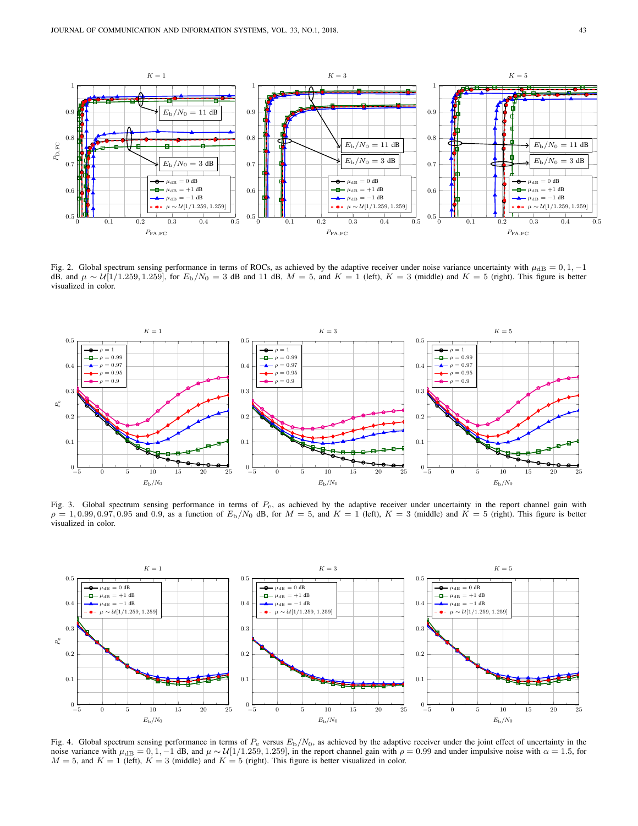

Fig. 2. Global spectrum sensing performance in terms of ROCs, as achieved by the adaptive receiver under noise variance uncertainty with  $\mu_{\text{dB}} = 0, 1, -1$ dB, and  $\mu \sim U[1/1.259, 1.259]$ , for  $E_b/N_0 = 3$  dB and 11 dB,  $M = 5$ , and  $K = 1$  (left),  $K = 3$  (middle) and  $K = 5$  (right). This figure is better visualized in color.



Fig. 3. Global spectrum sensing performance in terms of  $P_{\rm e}$ , as achieved by the adaptive receiver under uncertainty in the report channel gain with  $\rho = 1, 0.99, 0.97, 0.95$  and 0.9, as a function of  $E_{\rm b}/N_0$  dB, for  $M = 5$ , and  $K = 1$  (left),  $K = 3$  (middle) and  $\overline{K} = 5$  (right). This figure is better visualized in color.



Fig. 4. Global spectrum sensing performance in terms of  $P_e$  versus  $E_b/N_0$ , as achieved by the adaptive receiver under the joint effect of uncertainty in the noise variance with  $\mu_{\rm{dB}} = 0, 1, -1$  dB, and  $\mu \sim U[1/1.259, 1.259]$ , in the report channel gain with  $\rho = 0.99$  and under impulsive noise with  $\alpha = 1.5$ , for  $M = 5$ , and  $K = 1$  (left),  $K = 3$  (middle) and  $K = 5$  (right). This figure is better visualized in color.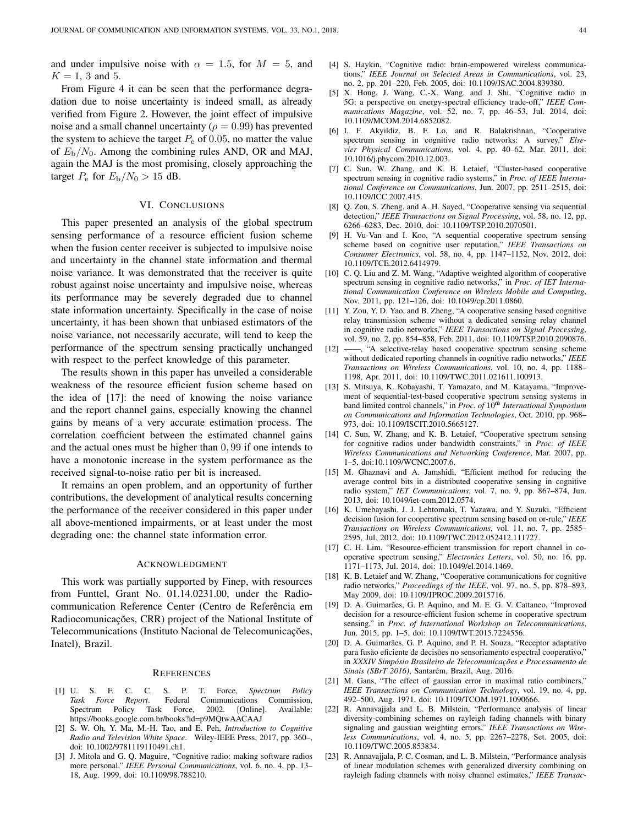and under impulsive noise with  $\alpha = 1.5$ , for  $M = 5$ , and  $K = 1, 3$  and 5.

From Figure 4 it can be seen that the performance degradation due to noise uncertainty is indeed small, as already verified from Figure 2. However, the joint effect of impulsive noise and a small channel uncertainty ( $\rho = 0.99$ ) has prevented the system to achieve the target  $P_e$  of 0.05, no matter the value of  $E_{\rm b}/N_0$ . Among the combining rules AND, OR and MAJ, again the MAJ is the most promising, closely approaching the target  $P_e$  for  $E_b/N_0 > 15$  dB.

# VI. CONCLUSIONS

This paper presented an analysis of the global spectrum sensing performance of a resource efficient fusion scheme when the fusion center receiver is subjected to impulsive noise and uncertainty in the channel state information and thermal noise variance. It was demonstrated that the receiver is quite robust against noise uncertainty and impulsive noise, whereas its performance may be severely degraded due to channel state information uncertainty. Specifically in the case of noise uncertainty, it has been shown that unbiased estimators of the noise variance, not necessarily accurate, will tend to keep the performance of the spectrum sensing practically unchanged with respect to the perfect knowledge of this parameter.

The results shown in this paper has unveiled a considerable weakness of the resource efficient fusion scheme based on the idea of [17]: the need of knowing the noise variance and the report channel gains, especially knowing the channel gains by means of a very accurate estimation process. The correlation coefficient between the estimated channel gains and the actual ones must be higher than 0, 99 if one intends to have a monotonic increase in the system performance as the received signal-to-noise ratio per bit is increased.

It remains an open problem, and an opportunity of further contributions, the development of analytical results concerning the performance of the receiver considered in this paper under all above-mentioned impairments, or at least under the most degrading one: the channel state information error.

#### ACKNOWLEDGMENT

This work was partially supported by Finep, with resources from Funttel, Grant No. 01.14.0231.00, under the Radiocommunication Reference Center (Centro de Referência em Radiocomunicações, CRR) project of the National Institute of Telecommunications (Instituto Nacional de Telecomunicações, Inatel), Brazil.

#### **REFERENCES**

- [1] U. S. F. C. C. S. P. T. Force, *Spectrum Policy* Federal Communications Commission,<br>Force, 2002. [Online]. Available: Spectrum Policy Task Force, https://books.google.com.br/books?id=p9MQtwAACAAJ
- [2] S. W. Oh, Y. Ma, M.-H. Tao, and E. Peh, *Introduction to Cognitive Radio and Television White Space*. Wiley-IEEE Press, 2017, pp. 360–, doi: 10.1002/9781119110491.ch1.
- [3] J. Mitola and G. Q. Maguire, "Cognitive radio: making software radios more personal," *IEEE Personal Communications*, vol. 6, no. 4, pp. 13– 18, Aug. 1999, doi: 10.1109/98.788210.
- [4] S. Haykin, "Cognitive radio: brain-empowered wireless communications," *IEEE Journal on Selected Areas in Communications*, vol. 23, no. 2, pp. 201–220, Feb. 2005, doi: 10.1109/JSAC.2004.839380.
- [5] X. Hong, J. Wang, C.-X. Wang, and J. Shi, "Cognitive radio in 5G: a perspective on energy-spectral efficiency trade-off," *IEEE Communications Magazine*, vol. 52, no. 7, pp. 46–53, Jul. 2014, doi: 10.1109/MCOM.2014.6852082.
- [6] I. F. Akyildiz, B. F. Lo, and R. Balakrishnan, "Cooperative spectrum sensing in cognitive radio networks: A survey," *Elsevier Physical Communications*, vol. 4, pp. 40–62, Mar. 2011, doi: 10.1016/j.phycom.2010.12.003.
- [7] C. Sun, W. Zhang, and K. B. Letaief, "Cluster-based cooperative spectrum sensing in cognitive radio systems," in *Proc. of IEEE International Conference on Communications*, Jun. 2007, pp. 2511–2515, doi: 10.1109/ICC.2007.415.
- [8] Q. Zou, S. Zheng, and A. H. Sayed, "Cooperative sensing via sequential detection," *IEEE Transactions on Signal Processing*, vol. 58, no. 12, pp. 6266–6283, Dec. 2010, doi: 10.1109/TSP.2010.2070501.
- [9] H. Vu-Van and I. Koo, "A sequential cooperative spectrum sensing scheme based on cognitive user reputation," *IEEE Transactions on Consumer Electronics*, vol. 58, no. 4, pp. 1147–1152, Nov. 2012, doi: 10.1109/TCE.2012.6414979.
- [10] C. Q. Liu and Z. M. Wang, "Adaptive weighted algorithm of cooperative spectrum sensing in cognitive radio networks," in *Proc. of IET International Communication Conference on Wireless Mobile and Computing*, Nov. 2011, pp. 121–126, doi: 10.1049/cp.2011.0860.
- [11] Y. Zou, Y. D. Yao, and B. Zheng, "A cooperative sensing based cognitive relay transmission scheme without a dedicated sensing relay channel in cognitive radio networks," *IEEE Transactions on Signal Processing*, vol. 59, no. 2, pp. 854–858, Feb. 2011, doi: 10.1109/TSP.2010.2090876.
- [12] -, "A selective-relay based cooperative spectrum sensing scheme without dedicated reporting channels in cognitive radio networks," *IEEE Transactions on Wireless Communications*, vol. 10, no. 4, pp. 1188– 1198, Apr. 2011, doi: 10.1109/TWC.2011.021611.100913.
- [13] S. Mitsuya, K. Kobayashi, T. Yamazato, and M. Katayama, "Improvement of sequential-test-based cooperative spectrum sensing systems in band limited control channels," in *Proc. of*  $10^{th}$  *International Symposium on Communications and Information Technologies*, Oct. 2010, pp. 968– 973, doi: 10.1109/ISCIT.2010.5665127.
- [14] C. Sun, W. Zhang, and K. B. Letaief, "Cooperative spectrum sensing for cognitive radios under bandwidth constraints," in *Proc. of IEEE Wireless Communications and Networking Conference*, Mar. 2007, pp. 1–5, doi:10.1109/WCNC.2007.6.
- [15] M. Ghaznavi and A. Jamshidi, "Efficient method for reducing the average control bits in a distributed cooperative sensing in cognitive radio system," *IET Communications*, vol. 7, no. 9, pp. 867–874, Jun. 2013, doi: 10.1049/iet-com.2012.0574.
- [16] K. Umebayashi, J. J. Lehtomaki, T. Yazawa, and Y. Suzuki, "Efficient decision fusion for cooperative spectrum sensing based on or-rule," *IEEE Transactions on Wireless Communications*, vol. 11, no. 7, pp. 2585– 2595, Jul. 2012, doi: 10.1109/TWC.2012.052412.111727.
- [17] C. H. Lim, "Resource-efficient transmission for report channel in cooperative spectrum sensing," *Electronics Letters*, vol. 50, no. 16, pp. 1171–1173, Jul. 2014, doi: 10.1049/el.2014.1469.
- [18] K. B. Letaief and W. Zhang, "Cooperative communications for cognitive radio networks," *Proceedings of the IEEE*, vol. 97, no. 5, pp. 878–893, May 2009, doi: 10.1109/JPROC.2009.2015716.
- [19] D. A. Guimarães, G. P. Aquino, and M. E. G. V. Cattaneo, "Improved decision for a resource-efficient fusion scheme in cooperative spectrum sensing," in *Proc. of International Workshop on Telecommunications*, Jun. 2015, pp. 1–5, doi: 10.1109/IWT.2015.7224556.
- [20] D. A. Guimarães, G. P. Aquino, and P. H. Souza, "Receptor adaptativo para fusão eficiente de decisões no sensoriamento espectral cooperativo," in *XXXIV Simpósio Brasileiro de Telecomunicações e Processamento de Sinais (SBrT 2016)*, Santarém, Brazil, Aug. 2016.
- [21] M. Gans, "The effect of gaussian error in maximal ratio combiners," *IEEE Transactions on Communication Technology*, vol. 19, no. 4, pp. 492–500, Aug. 1971, doi: 10.1109/TCOM.1971.1090666.
- [22] R. Annavajjala and L. B. Milstein, "Performance analysis of linear diversity-combining schemes on rayleigh fading channels with binary signaling and gaussian weighting errors," *IEEE Transactions on Wireless Communications*, vol. 4, no. 5, pp. 2267–2278, Set. 2005, doi: 10.1109/TWC.2005.853834.
- [23] R. Annavajjala, P. C. Cosman, and L. B. Milstein, "Performance analysis of linear modulation schemes with generalized diversity combining on rayleigh fading channels with noisy channel estimates," *IEEE Transac-*